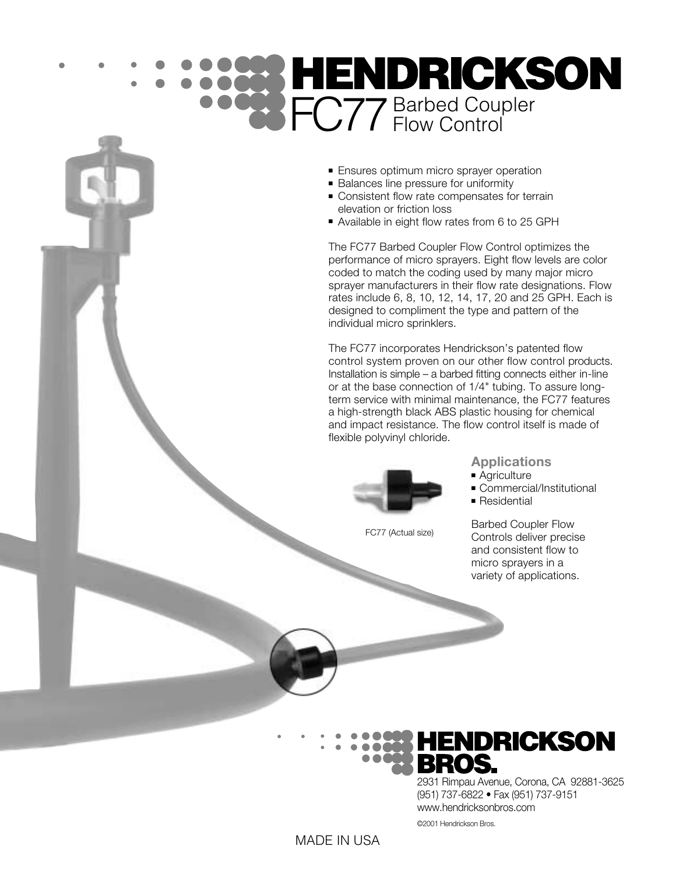## FC77 Barbed Coupler

- Ensures optimum micro sprayer operation
- Balances line pressure for uniformity
- Consistent flow rate compensates for terrain elevation or friction loss
- Available in eight flow rates from 6 to 25 GPH

The FC77 Barbed Coupler Flow Control optimizes the performance of micro sprayers. Eight flow levels are color coded to match the coding used by many major micro sprayer manufacturers in their flow rate designations. Flow rates include 6, 8, 10, 12, 14, 17, 20 and 25 GPH. Each is designed to compliment the type and pattern of the individual micro sprinklers.

The FC77 incorporates Hendrickson's patented flow control system proven on our other flow control products. Installation is simple – a barbed fitting connects either in-line or at the base connection of 1/4" tubing. To assure longterm service with minimal maintenance, the FC77 features a high-strength black ABS plastic housing for chemical and impact resistance. The flow control itself is made of flexible polyvinyl chloride.



FC77 (Actual size)

**Applications**

- Agriculture
- Commercial/Institutional
- Residential

Barbed Coupler Flow Controls deliver precise and consistent flow to micro sprayers in a variety of applications.

## **HENDRICKSON**

2931 Rimpau Avenue, Corona, CA 92881-3625 (951) 737-6822 • Fax (951) 737-9151 www.hendricksonbros.com

©2001 Hendrickson Bros.

## MADE IN USA